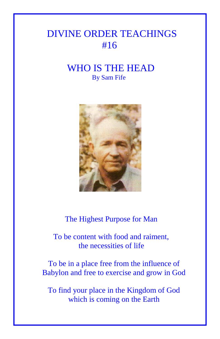## DIVINE ORDER TEACHINGS #16

## WHO IS THE HEAD By Sam Fife



The Highest Purpose for Man

 To be content with food and raiment, the necessities of life

To be in a place free from the influence of Babylon and free to exercise and grow in God

To find your place in the Kingdom of God which is coming on the Earth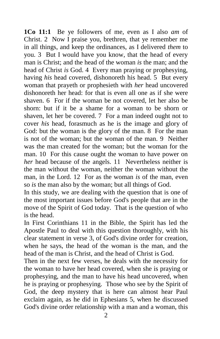**1Co 11:1** Be ye followers of me, even as I also *am* of Christ. 2 Now I praise you, brethren, that ye remember me in all things, and keep the ordinances, as I delivered *them* to you. 3 But I would have you know, that the head of every man is Christ; and the head of the woman *is* the man; and the head of Christ *is* God. 4 Every man praying or prophesying, having *his* head covered, dishonoreth his head. 5 But every woman that prayeth or prophesieth with *her* head uncovered dishonoreth her head: for that is even all one as if she were shaven. 6 For if the woman be not covered, let her also be shorn: but if it be a shame for a woman to be shorn or shaven, let her be covered. 7 For a man indeed ought not to cover *his* head, forasmuch as he is the image and glory of God: but the woman is the glory of the man. 8 For the man is not of the woman; but the woman of the man. 9 Neither was the man created for the woman; but the woman for the man. 10 For this cause ought the woman to have power on *her* head because of the angels. 11 Nevertheless neither is the man without the woman, neither the woman without the man, in the Lord. 12 For as the woman *is* of the man, even so *is* the man also by the woman; but all things of God.

In this study, we are dealing with the question that is one of the most important issues before God's people that are in the move of the Spirit of God today. That is the question of who is the head.

In First Corinthians 11 in the Bible, the Spirit has led the Apostle Paul to deal with this question thoroughly, with his clear statement in verse 3, of God's divine order for creation, when he says, the head of the woman is the man, and the head of the man is Christ, and the head of Christ is God.

Then in the next few verses, he deals with the necessity for the woman to have her head covered, when she is praying or prophesying, and the man to have his head uncovered, when he is praying or prophesying. Those who see by the Spirit of God, the deep mystery that is here can almost hear Paul exclaim again, as he did in Ephesians 5, when he discussed God's divine order relationship with a man and a woman, this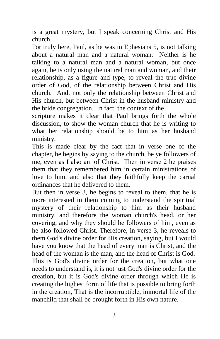is a great mystery, but I speak concerning Christ and His church.

For truly here, Paul, as he was in Ephesians 5, is not talking about a natural man and a natural woman. Neither is he talking to a natural man and a natural woman, but once again, he is only using the natural man and woman, and their relationship, as a figure and type, to reveal the true divine order of God, of the relationship between Christ and His church. And, not only the relationship between Christ and His church, but between Christ in the husband ministry and the bride congregation. In fact, the context of the

scripture makes it clear that Paul brings forth the whole discussion, to show the woman church that he is writing to what her relationship should be to him as her husband ministry.

This is made clear by the fact that in verse one of the chapter, he begins by saying to the church, be ye followers of me, even as I also am of Christ. Then in verse 2 he praises them that they remembered him in certain ministrations of love to him, and also that they faithfully keep the carnal ordinances that he delivered to them.

But then in verse 3, he begins to reveal to them, that he is more interested in them coming to understand the spiritual mystery of their relationship to him as their husband ministry, and therefore the woman church's head, or her covering, and why they should be followers of him, even as he also followed Christ. Therefore, in verse 3, he reveals to them God's divine order for His creation, saying, but I would have you know that the head of every man is Christ, and the head of the woman is the man, and the head of Christ is God. This is God's divine order for the creation, but what one needs to understand is, it is not just God's divine order for the creation, but it is God's divine order through which He is creating the highest form of life that is possible to bring forth in the creation, That is the incorruptible, immortal life of the manchild that shall be brought forth in His own nature.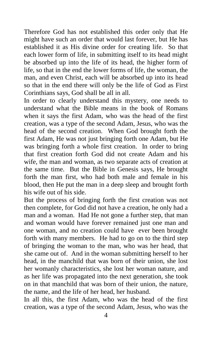Therefore God has not established this order only that He might have such an order that would last forever, but He has established it as His divine order for creating life. So that each lower form of life, in submitting itself to its head might be absorbed up into the life of its head, the higher form of life, so that in the end the lower forms of life, the woman, the man, and even Christ, each will be absorbed up into its head so that in the end there will only be the life of God as First Corinthians says, God shall be all in all.

In order to clearly understand this mystery, one needs to understand what the Bible means in the book of Romans when it says the first Adam, who was the head of the first creation, was a type of the second Adam, Jesus, who was the head of the second creation. When God brought forth the first Adam, He was not just bringing forth one Adam, but He was bringing forth a whole first creation. In order to bring that first creation forth God did not create Adam and his wife, the man and woman, as two separate acts of creation at the same time. But the Bible in Genesis says, He brought forth the man first, who had both male and female in his blood, then He put the man in a deep sleep and brought forth his wife out of his side.

But the process of bringing forth the first creation was not then complete, for God did not have a creation, he only had a man and a woman. Had He not gone a further step, that man and woman would have forever remained just one man and one woman, and no creation could have ever been brought forth with many members. He had to go on to the third step of bringing the woman to the man, who was her head, that she came out of. And in the woman submitting herself to her head, in the manchild that was born of their union, she lost her womanly characteristics, she lost her woman nature, and as her life was propagated into the next generation, she took on in that manchild that was born of their union, the nature, the name, and the life of her head, her husband.

In all this, the first Adam, who was the head of the first creation, was a type of the second Adam, Jesus, who was the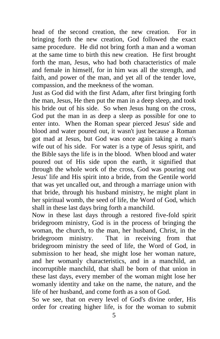head of the second creation, the new creation. For in bringing forth the new creation, God followed the exact same procedure. He did not bring forth a man and a woman at the same time to birth this new creation. He first brought forth the man, Jesus, who had both characteristics of male and female in himself, for in him was all the strength, and faith, and power of the man, and yet all of the tender love, compassion, and the meekness of the woman.

Just as God did with the first Adam, after first bringing forth the man, Jesus, He then put the man in a deep sleep, and took his bride out of his side. So when Jesus hung on the cross, God put the man in as deep a sleep as possible for one to enter into. When the Roman spear pierced Jesus' side and blood and water poured out, it wasn't just because a Roman got mad at Jesus, but God was once again taking a man's wife out of his side. For water is a type of Jesus spirit, and the Bible says the life is in the blood. When blood and water poured out of His side upon the earth, it signified that through the whole work of the cross, God was pouring out Jesus' life and His spirit into a bride, from the Gentile world that was yet uncalled out, and through a marriage union with that bride, through his husband ministry, he might plant in her spiritual womb, the seed of life, the Word of God, which shall in these last days bring forth a manchild.

Now in these last days through a restored five-fold spirit bridegroom ministry, God is in the process of bringing the woman, the church, to the man, her husband, Christ, in the bridegroom ministry. That in receiving from that bridegroom ministry the seed of life, the Word of God, in submission to her head, she might lose her woman nature, and her womanly characteristics, and in a manchild, an incorruptible manchild, that shall be born of that union in these last days, every member of the woman might lose her womanly identity and take on the name, the nature, and the life of her husband, and come forth as a son of God.

So we see, that on every level of God's divine order, His order for creating higher life, is for the woman to submit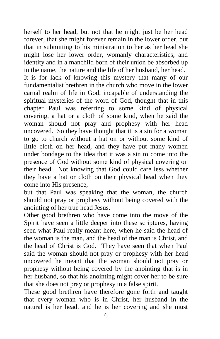herself to her head, but not that he might just be her head forever, that she might forever remain in the lower order, but that in submitting to his ministration to her as her head she might lose her lower order, womanly characteristics, and identity and in a manchild born of their union be absorbed up in the name, the nature and the life of her husband, her head.

It is for lack of knowing this mystery that many of our fundamentalist brethren in the church who move in the lower carnal realm of life in God, incapable of understanding the spiritual mysteries of the word of God, thought that in this chapter Paul was referring to some kind of physical covering, a hat or a cloth of some kind, when he said the woman should not pray and prophesy with her head uncovered. So they have thought that it is a sin for a woman to go to church without a hat on or without some kind of little cloth on her head, and they have put many women under bondage to the idea that it was a sin to come into the presence of God without some kind of physical covering on their head. Not knowing that God could care less whether they have a hat or cloth on their physical head when they come into His presence,

but that Paul was speaking that the woman, the church should not pray or prophesy without being covered with the anointing of her true head Jesus.

Other good brethren who have come into the move of the Spirit have seen a little deeper into these scriptures, having seen what Paul really meant here, when he said the head of the woman is the man, and the head of the man is Christ, and the head of Christ is God. They have seen that when Paul said the woman should not pray or prophesy with her head uncovered he meant that the woman should not pray or prophesy without being covered by the anointing that is in her husband, so that his anointing might cover her to be sure that she does not pray or prophesy in a false spirit.

These good brethren have therefore gone forth and taught that every woman who is in Christ, her husband in the natural is her head, and he is her covering and she must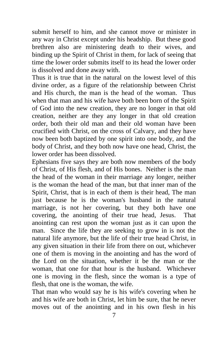submit herself to him, and she cannot move or minister in any way in Christ except under his headship. But these good brethren also are ministering death to their wives, and binding up the Spirit of Christ in them, for lack of seeing that time the lower order submits itself to its head the lower order is dissolved and done away with.

Thus it is true that in the natural on the lowest level of this divine order, as a figure of the relationship between Christ and His church, the man is the head of the woman. Thus when that man and his wife have both been born of the Spirit of God into the new creation, they are no longer in that old creation, neither are they any longer in that old creation order, both their old man and their old woman have been crucified with Christ, on the cross of Calvary, and they have now been both baptized by one spirit into one body, and the body of Christ, and they both now have one head, Christ, the lower order has been dissolved.

Ephesians five says they are both now members of the body of Christ, of His flesh, and of His bones. Neither is the man the head of the woman in their marriage any longer, neither is the woman the head of the man, but that inner man of the Spirit, Christ, that is in each of them is their head, The man just because he is the woman's husband in the natural marriage, is not her covering, but they both have one covering, the anointing of their true head, Jesus. That anointing can rest upon the woman just as it can upon the man. Since the life they are seeking to grow in is not the natural life anymore, but the life of their true head Christ, in any given situation in their life from there on out, whichever one of them is moving in the anointing and has the word of the Lord on the situation, whether it be the man or the woman, that one for that hour is the husband. Whichever one is moving in the flesh, since the woman is a type of flesh, that one is the woman, the wife.

That man who would say he is his wife's covering when he and his wife are both in Christ, let him be sure, that he never moves out of the anointing and in his own flesh in his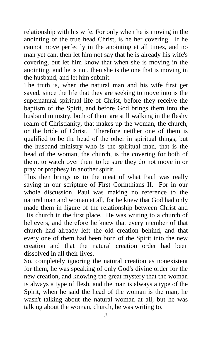relationship with his wife. For only when he is moving in the anointing of the true head Christ, is he her covering. If he cannot move perfectly in the anointing at all times, and no man yet can, then let him not say that he is already his wife's covering, but let him know that when she is moving in the anointing, and he is not, then she is the one that is moving in the husband, and let him submit.

The truth is, when the natural man and his wife first get saved, since the life that they are seeking to move into is the supernatural spiritual life of Christ, before they receive the baptism of the Spirit, and before God brings them into the husband ministry, both of them are still walking in the fleshy realm of Christianity, that makes up the woman, the church, or the bride of Christ. Therefore neither one of them is qualified to be the head of the other in spiritual things, but the husband ministry who is the spiritual man, that is the head of the woman, the church, is the covering for both of them, to watch over them to be sure they do not move in or pray or prophesy in another spirit.

This then brings us to the meat of what Paul was really saying in our scripture of First Corinthians II. For in our whole discussion, Paul was making no reference to the natural man and woman at all, for he knew that God had only made them in figure of the relationship between Christ and His church in the first place. He was writing to a church of believers, and therefore he knew that every member of that church had already left the old creation behind, and that every one of them had been born of the Spirit into the new creation and that the natural creation order had been dissolved in all their lives.

So, completely ignoring the natural creation as nonexistent for them, he was speaking of only God's divine order for the new creation, and knowing the great mystery that the woman is always a type of flesh, and the man is always a type of the Spirit, when he said the head of the woman is the man, he wasn't talking about the natural woman at all, but he was talking about the woman, church, he was writing to.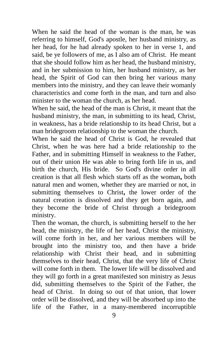When he said the head of the woman is the man, he was referring to himself, God's apostle, her husband ministry, as her head, for he had already spoken to her in verse 1, and said, be ye followers of me, as I also am of Christ. He meant that she should follow him as her head, the husband ministry, and in her submission to him, her husband ministry, as her head, the Spirit of God can then bring her various many members into the ministry, and they can leave their womanly characteristics and come forth in the man, and turn and also minister to the woman the church, as her head.

When he said, the head of the man is Christ, it meant that the husband ministry, the man, in submitting to its head, Christ, in weakness, has a bride relationship to its head Christ, but a man bridegroom relationship to the woman the church.

When he said the head of Christ is God, he revealed that Christ, when he was here had a bride relationship to the Father, and in submitting Himself in weakness to the Father, out of their union He was able to bring forth life in us, and birth the church, His bride. So God's divine order in all creation is that all flesh which starts off as the woman**,** both natural men and women, whether they are married or not, in submitting themselves to Christ**,** the lower order of the natural creation is dissolved and they get born again, and they become the bride of Christ through a bridegroom ministry.

Then the woman, the church, is submitting herself to the her head, the ministry, the life of her head, Christ the ministry, will come forth in her, and her various members will be brought into the ministry too, and then have a bride relationship with Christ their head, and in submitting themselves to their head, Christ, that the very life of Christ will come forth in them. The lower life will be dissolved and they will go forth in a great manifested son ministry as Jesus did, submitting themselves to the Spirit of the Father, the head of Christ. In doing so out of that union, that lower order will be dissolved, and they will be absorbed up into the life of the Father, in a many-membered incorruptible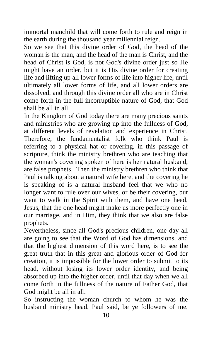immortal manchild that will come forth to rule and reign in the earth during the thousand year millennial reign.

So we see that this divine order of God, the head of the woman is the man, and the head of the man is Christ, and the head of Christ is God, is not God's divine order just so He might have an order, but it is His divine order for creating life and lifting up all lower forms of life into higher life, until ultimately all lower forms of life, and all lower orders are dissolved, and through this divine order all who are in Christ come forth in the full incorruptible nature of God, that God shall be all in all.

In the Kingdom of God today there are many precious saints and ministries who are growing up into the fullness of God, at different levels of revelation and experience in Christ. Therefore, the fundamentalist folk who think Paul is referring to a physical hat or covering, in this passage of scripture, think the ministry brethren who are teaching that the woman's covering spoken of here is her natural husband, are false prophets. Then the ministry brethren who think that Paul is talking about a natural wife here, and the covering he is speaking of is a natural husband feel that we who no longer want to rule over our wives, or be their covering, but want to walk in the Spirit with them, and have one head, Jesus, that the one head might make us more perfectly one in our marriage, and in Him, they think that we also are false prophets.

Nevertheless, since all God's precious children, one day all are going to see that the Word of God has dimensions, and that the highest dimension of this word here, is to see the great truth that in this great and glorious order of God for creation, it is impossible for the lower order to submit to its head, without losing its lower order identity, and being absorbed up into the higher order, until that day when we all come forth in the fullness of the nature of Father God, that God might be all in all.

So instructing the woman church to whom he was the husband ministry head, Paul said, be ye followers of me,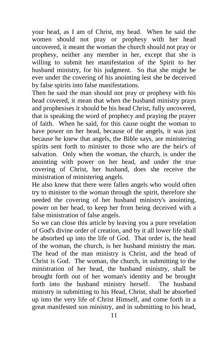your head, as I am of Christ, my head. When he said the women should not pray or prophesy with her head uncovered, it meant the woman the church should not pray or prophesy, neither any member in her, except that she is willing to submit her manifestation of the Spirit to her husband ministry, for his judgment. So that she might be ever under the covering of his anointing lest she be deceived by false spirits into false manifestations.

Then he said the man should not pray or prophesy with his head covered, it mean that when the husband ministry prays and prophesises it should be his head Christ, fully uncovered, that is speaking the word of prophecy and praying the prayer of faith. When he said, for this cause ought the woman to have power on her head, because of the angels, it was just because he knew that angels, the Bible says, are ministering spirits sent forth to minister to those who are the heir's of salvation. Only when the woman, the church, is under the anointing with power on her head, and under the true covering of Christ, her husband, does she receive the ministration of ministering angels.

He also knew that there were fallen angels who would often try to minister to the woman through the spirit, therefore she needed the covering of her husband ministry's anointing, power on her head, to keep her from being deceived with a false ministration of false angels.

So we can close this article by leaving you a pure revelation of God's divine order of creation, and by it all lower life shall be absorbed up into the life of God. That order is, the head of the woman, the church, is her husband ministry the man. The head of the man ministry is Christ, and the head of Christ is God. The woman, the church, in submitting to the ministration of her head, the husband ministry, shall be brought forth out of her woman's identity and be brought forth into the husband ministry herself. The husband ministry in submitting to his Head, Christ, shall be absorbed up into the very life of Christ Himself, and come forth in a great manifested son ministry, and in submitting to his head,